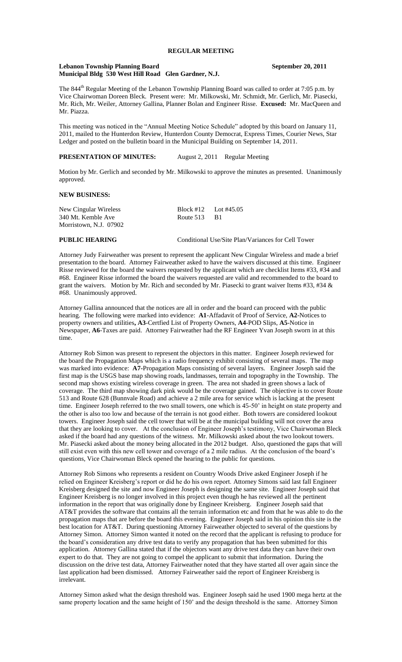## **REGULAR MEETING**

#### **Lebanon Township Planning Board September 20, 2011 Municipal Bldg 530 West Hill Road Glen Gardner, N.J.**

The 844<sup>th</sup> Regular Meeting of the Lebanon Township Planning Board was called to order at 7:05 p.m. by Vice Chairwoman Doreen Bleck. Present were: Mr. Milkowski, Mr. Schmidt, Mr. Gerlich, Mr. Piasecki, Mr. Rich, Mr. Weiler, Attorney Gallina, Planner Bolan and Engineer Risse. **Excused:** Mr. MacQueen and Mr. Piazza.

This meeting was noticed in the "Annual Meeting Notice Schedule" adopted by this board on January 11, 2011, mailed to the Hunterdon Review, Hunterdon County Democrat, Express Times, Courier News, Star Ledger and posted on the bulletin board in the Municipal Building on September 14, 2011.

**PRESENTATION OF MINUTES:** August 2, 2011 Regular Meeting

Motion by Mr. Gerlich and seconded by Mr. Milkowski to approve the minutes as presented. Unanimously approved.

## **NEW BUSINESS:**

| New Cingular Wireless  | Block #12 Lot #45.05 |  |
|------------------------|----------------------|--|
| 340 Mt. Kemble Ave     | Route $513$ B1       |  |
| Morristown, N.J. 07902 |                      |  |

**PUBLIC HEARING** Conditional Use/Site Plan/Variances for Cell Tower

Attorney Judy Fairweather was present to represent the applicant New Cingular Wireless and made a brief presentation to the board. Attorney Fairweather asked to have the waivers discussed at this time. Engineer Risse reviewed for the board the waivers requested by the applicant which are checklist Items #33, #34 and #68. Engineer Risse informed the board the waivers requested are valid and recommended to the board to grant the waivers. Motion by Mr. Rich and seconded by Mr. Piasecki to grant waiver Items #33, #34 & #68. Unanimously approved.

Attorney Gallina announced that the notices are all in order and the board can proceed with the public hearing. The following were marked into evidence: **A1**-Affadavit of Proof of Service, **A2**-Notices to property owners and utilities**, A3**-Certfied List of Property Owners, **A4**-POD Slips, **A5**-Notice in Newspaper, **A6**-Taxes are paid. Attorney Fairweather had the RF Engineer Yvan Joseph sworn in at this time.

Attorney Rob Simon was present to represent the objectors in this matter. Engineer Joseph reviewed for the board the Propagation Maps which is a radio frequency exhibit consisting of several maps. The map was marked into evidence: **A7-**Propagation Maps consisting of several layers. Engineer Joseph said the first map is the USGS base map showing roads, landmasses, terrain and topography in the Township. The second map shows existing wireless coverage in green. The area not shaded in green shows a lack of coverage. The third map showing dark pink would be the coverage gained. The objective is to cover Route 513 and Route 628 (Bunnvale Road) and achieve a 2 mile area for service which is lacking at the present time. Engineer Joseph referred to the two small towers, one which is 45-50' in height on state property and the other is also too low and because of the terrain is not good either. Both towers are considered lookout towers. Engineer Joseph said the cell tower that will be at the municipal building will not cover the area that they are looking to cover. At the conclusion of Engineer Joseph's testimony, Vice Chairwoman Bleck asked if the board had any questions of the witness. Mr. Milkowski asked about the two lookout towers. Mr. Piasecki asked about the money being allocated in the 2012 budget. Also, questioned the gaps that will still exist even with this new cell tower and coverage of a 2 mile radius. At the conclusion of the board's questions, Vice Chairwoman Bleck opened the hearing to the public for questions.

Attorney Rob Simons who represents a resident on Country Woods Drive asked Engineer Joseph if he relied on Engineer Kreisberg's report or did he do his own report. Attorney Simons said last fall Engineer Kreisberg designed the site and now Engineer Joseph is designing the same site. Engineer Joseph said that Engineer Kreisberg is no longer involved in this project even though he has reviewed all the pertinent information in the report that was originally done by Engineer Kreisberg. Engineer Joseph said that AT&T provides the software that contains all the terrain information etc and from that he was able to do the propagation maps that are before the board this evening. Engineer Joseph said in his opinion this site is the best location for AT&T. During questioning Attorney Fairweather objected to several of the questions by Attorney Simon. Attorney Simon wanted it noted on the record that the applicant is refusing to produce for the board's consideration any drive test data to verify any propagation that has been submitted for this application. Attorney Gallina stated that if the objectors want any drive test data they can have their own expert to do that. They are not going to compel the applicant to submit that information. During the discussion on the drive test data, Attorney Fairweather noted that they have started all over again since the last application had been dismissed. Attorney Fairweather said the report of Engineer Kreisberg is irrelevant.

Attorney Simon asked what the design threshold was. Engineer Joseph said he used 1900 mega hertz at the same property location and the same height of 150' and the design threshold is the same. Attorney Simon